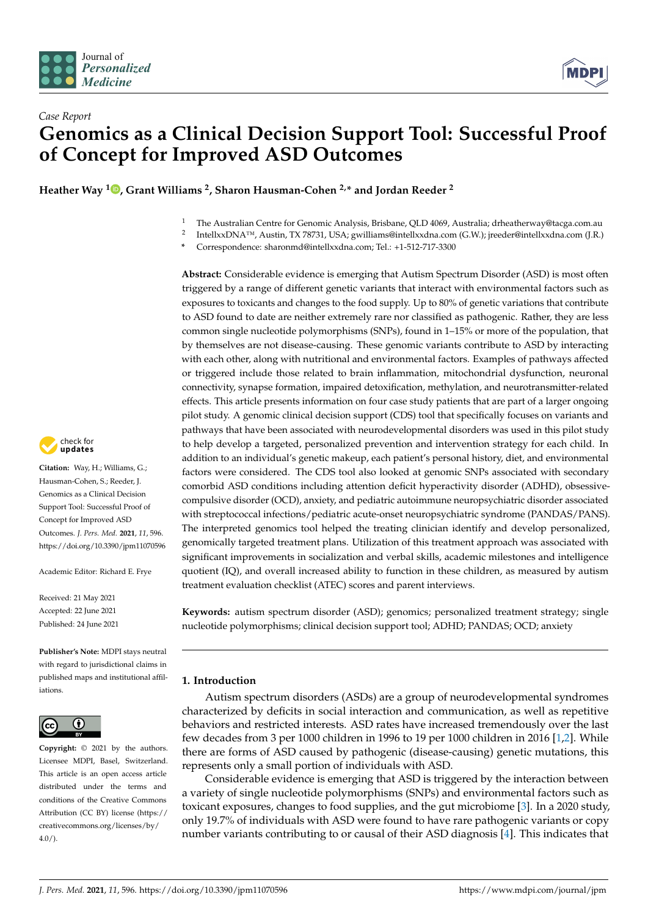



# *Case Report* **Genomics as a Clinical Decision Support Tool: Successful Proof of Concept for Improved ASD Outcomes**

**Heather Way <sup>1</sup> [,](https://orcid.org/0000-0003-2909-9836) Grant Williams <sup>2</sup> , Sharon Hausman-Cohen 2,\* and Jordan Reeder <sup>2</sup>**

- <sup>1</sup> The Australian Centre for Genomic Analysis, Brisbane, QLD 4069, Australia; drheatherway@tacga.com.au
- 2 IntellxxDNA™, Austin, TX 78731, USA; gwilliams@intellxxdna.com (G.W.); jreeder@intellxxdna.com (J.R.)
- **\*** Correspondence: sharonmd@intellxxdna.com; Tel.: +1-512-717-3300

**Abstract:** Considerable evidence is emerging that Autism Spectrum Disorder (ASD) is most often triggered by a range of different genetic variants that interact with environmental factors such as exposures to toxicants and changes to the food supply. Up to 80% of genetic variations that contribute to ASD found to date are neither extremely rare nor classified as pathogenic. Rather, they are less common single nucleotide polymorphisms (SNPs), found in 1–15% or more of the population, that by themselves are not disease-causing. These genomic variants contribute to ASD by interacting with each other, along with nutritional and environmental factors. Examples of pathways affected or triggered include those related to brain inflammation, mitochondrial dysfunction, neuronal connectivity, synapse formation, impaired detoxification, methylation, and neurotransmitter-related effects. This article presents information on four case study patients that are part of a larger ongoing pilot study. A genomic clinical decision support (CDS) tool that specifically focuses on variants and pathways that have been associated with neurodevelopmental disorders was used in this pilot study to help develop a targeted, personalized prevention and intervention strategy for each child. In addition to an individual's genetic makeup, each patient's personal history, diet, and environmental factors were considered. The CDS tool also looked at genomic SNPs associated with secondary comorbid ASD conditions including attention deficit hyperactivity disorder (ADHD), obsessivecompulsive disorder (OCD), anxiety, and pediatric autoimmune neuropsychiatric disorder associated with streptococcal infections/pediatric acute-onset neuropsychiatric syndrome (PANDAS/PANS). The interpreted genomics tool helped the treating clinician identify and develop personalized, genomically targeted treatment plans. Utilization of this treatment approach was associated with significant improvements in socialization and verbal skills, academic milestones and intelligence quotient (IQ), and overall increased ability to function in these children, as measured by autism treatment evaluation checklist (ATEC) scores and parent interviews.

**Keywords:** autism spectrum disorder (ASD); genomics; personalized treatment strategy; single nucleotide polymorphisms; clinical decision support tool; ADHD; PANDAS; OCD; anxiety

# **1. Introduction**

Autism spectrum disorders (ASDs) are a group of neurodevelopmental syndromes characterized by deficits in social interaction and communication, as well as repetitive behaviors and restricted interests. ASD rates have increased tremendously over the last few decades from 3 per 1000 children in 1996 to 19 per 1000 children in 2016 [\[1,](#page-9-0)[2\]](#page-9-1). While there are forms of ASD caused by pathogenic (disease-causing) genetic mutations, this represents only a small portion of individuals with ASD.

Considerable evidence is emerging that ASD is triggered by the interaction between a variety of single nucleotide polymorphisms (SNPs) and environmental factors such as toxicant exposures, changes to food supplies, and the gut microbiome [\[3\]](#page-10-0). In a 2020 study, only 19.7% of individuals with ASD were found to have rare pathogenic variants or copy number variants contributing to or causal of their ASD diagnosis [\[4\]](#page-10-1). This indicates that



**Citation:** Way, H.; Williams, G.; Hausman-Cohen, S.; Reeder, J. Genomics as a Clinical Decision Support Tool: Successful Proof of Concept for Improved ASD Outcomes. *J. Pers. Med.* **2021**, *11*, 596. <https://doi.org/10.3390/jpm11070596>

Academic Editor: Richard E. Frye

Received: 21 May 2021 Accepted: 22 June 2021 Published: 24 June 2021

**Publisher's Note:** MDPI stays neutral with regard to jurisdictional claims in published maps and institutional affiliations.



**Copyright:** © 2021 by the authors. Licensee MDPI, Basel, Switzerland. This article is an open access article distributed under the terms and conditions of the Creative Commons Attribution (CC BY) license (https:/[/](https://creativecommons.org/licenses/by/4.0/) [creativecommons.org/licenses/by/](https://creativecommons.org/licenses/by/4.0/)  $4.0/$ ).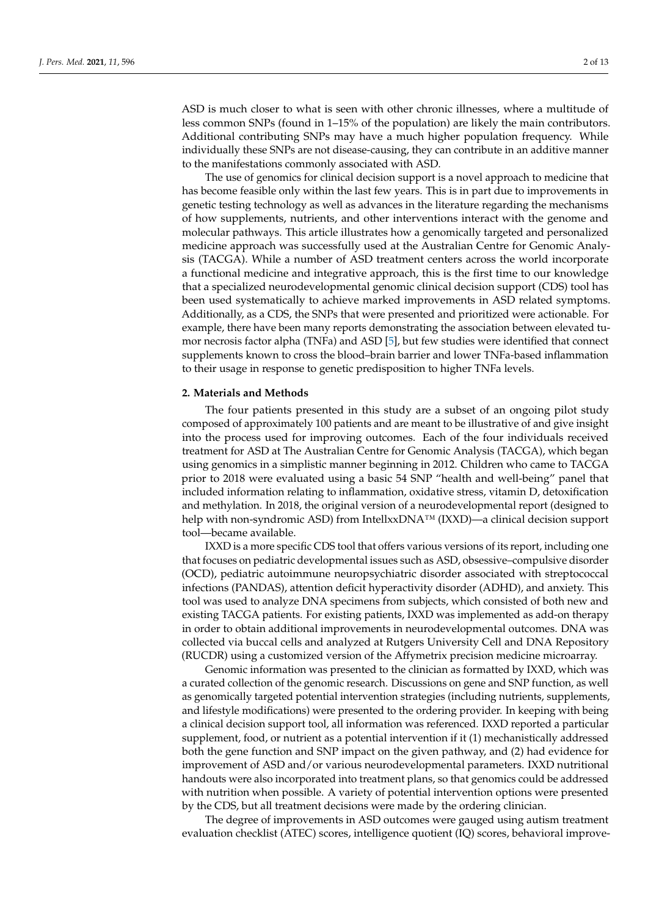ASD is much closer to what is seen with other chronic illnesses, where a multitude of less common SNPs (found in 1–15% of the population) are likely the main contributors. Additional contributing SNPs may have a much higher population frequency. While individually these SNPs are not disease-causing, they can contribute in an additive manner to the manifestations commonly associated with ASD.

The use of genomics for clinical decision support is a novel approach to medicine that has become feasible only within the last few years. This is in part due to improvements in genetic testing technology as well as advances in the literature regarding the mechanisms of how supplements, nutrients, and other interventions interact with the genome and molecular pathways. This article illustrates how a genomically targeted and personalized medicine approach was successfully used at the Australian Centre for Genomic Analysis (TACGA). While a number of ASD treatment centers across the world incorporate a functional medicine and integrative approach, this is the first time to our knowledge that a specialized neurodevelopmental genomic clinical decision support (CDS) tool has been used systematically to achieve marked improvements in ASD related symptoms. Additionally, as a CDS, the SNPs that were presented and prioritized were actionable. For example, there have been many reports demonstrating the association between elevated tumor necrosis factor alpha (TNFa) and ASD [\[5\]](#page-10-2), but few studies were identified that connect supplements known to cross the blood–brain barrier and lower TNFa-based inflammation to their usage in response to genetic predisposition to higher TNFa levels.

#### **2. Materials and Methods**

The four patients presented in this study are a subset of an ongoing pilot study composed of approximately 100 patients and are meant to be illustrative of and give insight into the process used for improving outcomes. Each of the four individuals received treatment for ASD at The Australian Centre for Genomic Analysis (TACGA), which began using genomics in a simplistic manner beginning in 2012. Children who came to TACGA prior to 2018 were evaluated using a basic 54 SNP "health and well-being" panel that included information relating to inflammation, oxidative stress, vitamin D, detoxification and methylation. In 2018, the original version of a neurodevelopmental report (designed to help with non-syndromic ASD) from IntellxxDNA™ (IXXD)—a clinical decision support tool—became available.

IXXD is a more specific CDS tool that offers various versions of its report, including one that focuses on pediatric developmental issues such as ASD, obsessive–compulsive disorder (OCD), pediatric autoimmune neuropsychiatric disorder associated with streptococcal infections (PANDAS), attention deficit hyperactivity disorder (ADHD), and anxiety. This tool was used to analyze DNA specimens from subjects, which consisted of both new and existing TACGA patients. For existing patients, IXXD was implemented as add-on therapy in order to obtain additional improvements in neurodevelopmental outcomes. DNA was collected via buccal cells and analyzed at Rutgers University Cell and DNA Repository (RUCDR) using a customized version of the Affymetrix precision medicine microarray.

Genomic information was presented to the clinician as formatted by IXXD, which was a curated collection of the genomic research. Discussions on gene and SNP function, as well as genomically targeted potential intervention strategies (including nutrients, supplements, and lifestyle modifications) were presented to the ordering provider. In keeping with being a clinical decision support tool, all information was referenced. IXXD reported a particular supplement, food, or nutrient as a potential intervention if it (1) mechanistically addressed both the gene function and SNP impact on the given pathway, and (2) had evidence for improvement of ASD and/or various neurodevelopmental parameters. IXXD nutritional handouts were also incorporated into treatment plans, so that genomics could be addressed with nutrition when possible. A variety of potential intervention options were presented by the CDS, but all treatment decisions were made by the ordering clinician.

The degree of improvements in ASD outcomes were gauged using autism treatment evaluation checklist (ATEC) scores, intelligence quotient (IQ) scores, behavioral improve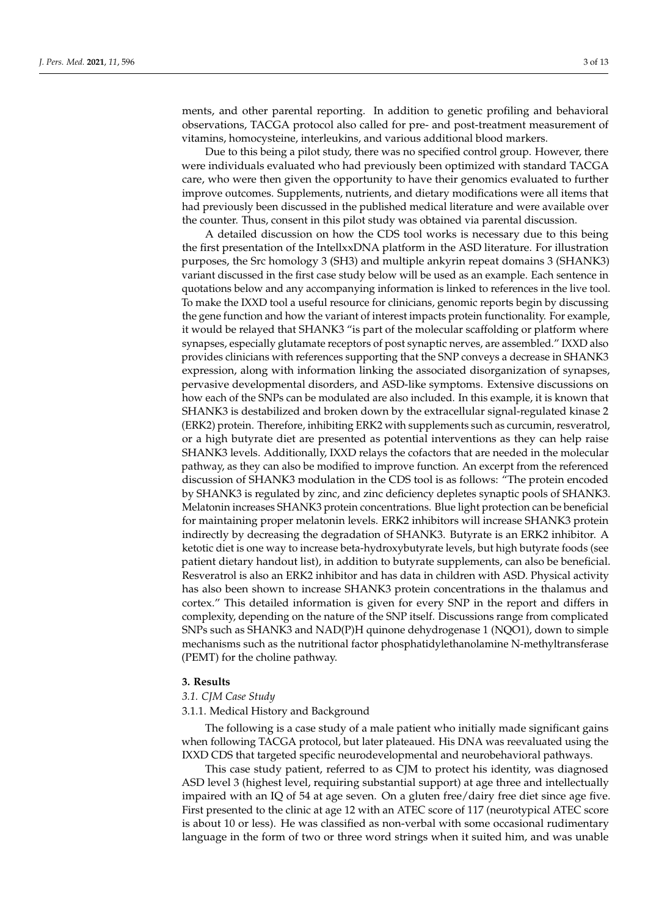ments, and other parental reporting. In addition to genetic profiling and behavioral observations, TACGA protocol also called for pre- and post-treatment measurement of vitamins, homocysteine, interleukins, and various additional blood markers.

Due to this being a pilot study, there was no specified control group. However, there were individuals evaluated who had previously been optimized with standard TACGA care, who were then given the opportunity to have their genomics evaluated to further improve outcomes. Supplements, nutrients, and dietary modifications were all items that had previously been discussed in the published medical literature and were available over the counter. Thus, consent in this pilot study was obtained via parental discussion.

A detailed discussion on how the CDS tool works is necessary due to this being the first presentation of the IntellxxDNA platform in the ASD literature. For illustration purposes, the Src homology 3 (SH3) and multiple ankyrin repeat domains 3 (SHANK3) variant discussed in the first case study below will be used as an example. Each sentence in quotations below and any accompanying information is linked to references in the live tool. To make the IXXD tool a useful resource for clinicians, genomic reports begin by discussing the gene function and how the variant of interest impacts protein functionality. For example, it would be relayed that SHANK3 "is part of the molecular scaffolding or platform where synapses, especially glutamate receptors of post synaptic nerves, are assembled." IXXD also provides clinicians with references supporting that the SNP conveys a decrease in SHANK3 expression, along with information linking the associated disorganization of synapses, pervasive developmental disorders, and ASD-like symptoms. Extensive discussions on how each of the SNPs can be modulated are also included. In this example, it is known that SHANK3 is destabilized and broken down by the extracellular signal-regulated kinase 2 (ERK2) protein. Therefore, inhibiting ERK2 with supplements such as curcumin, resveratrol, or a high butyrate diet are presented as potential interventions as they can help raise SHANK3 levels. Additionally, IXXD relays the cofactors that are needed in the molecular pathway, as they can also be modified to improve function. An excerpt from the referenced discussion of SHANK3 modulation in the CDS tool is as follows: "The protein encoded by SHANK3 is regulated by zinc, and zinc deficiency depletes synaptic pools of SHANK3. Melatonin increases SHANK3 protein concentrations. Blue light protection can be beneficial for maintaining proper melatonin levels. ERK2 inhibitors will increase SHANK3 protein indirectly by decreasing the degradation of SHANK3. Butyrate is an ERK2 inhibitor. A ketotic diet is one way to increase beta-hydroxybutyrate levels, but high butyrate foods (see patient dietary handout list), in addition to butyrate supplements, can also be beneficial. Resveratrol is also an ERK2 inhibitor and has data in children with ASD. Physical activity has also been shown to increase SHANK3 protein concentrations in the thalamus and cortex." This detailed information is given for every SNP in the report and differs in complexity, depending on the nature of the SNP itself. Discussions range from complicated SNPs such as SHANK3 and NAD(P)H quinone dehydrogenase 1 (NQO1), down to simple mechanisms such as the nutritional factor phosphatidylethanolamine N-methyltransferase (PEMT) for the choline pathway.

#### **3. Results**

#### *3.1. CJM Case Study*

3.1.1. Medical History and Background

The following is a case study of a male patient who initially made significant gains when following TACGA protocol, but later plateaued. His DNA was reevaluated using the IXXD CDS that targeted specific neurodevelopmental and neurobehavioral pathways.

This case study patient, referred to as CJM to protect his identity, was diagnosed ASD level 3 (highest level, requiring substantial support) at age three and intellectually impaired with an IQ of 54 at age seven. On a gluten free/dairy free diet since age five. First presented to the clinic at age 12 with an ATEC score of 117 (neurotypical ATEC score is about 10 or less). He was classified as non-verbal with some occasional rudimentary language in the form of two or three word strings when it suited him, and was unable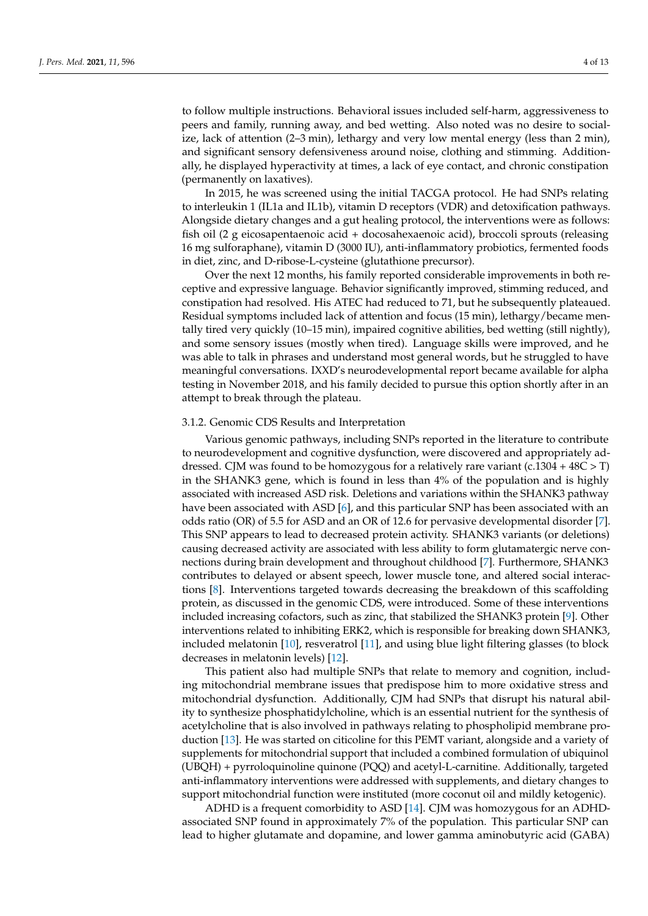to follow multiple instructions. Behavioral issues included self-harm, aggressiveness to peers and family, running away, and bed wetting. Also noted was no desire to socialize, lack of attention (2–3 min), lethargy and very low mental energy (less than 2 min), and significant sensory defensiveness around noise, clothing and stimming. Additionally, he displayed hyperactivity at times, a lack of eye contact, and chronic constipation (permanently on laxatives).

In 2015, he was screened using the initial TACGA protocol. He had SNPs relating to interleukin 1 (IL1a and IL1b), vitamin D receptors (VDR) and detoxification pathways. Alongside dietary changes and a gut healing protocol, the interventions were as follows: fish oil (2 g eicosapentaenoic acid + docosahexaenoic acid), broccoli sprouts (releasing 16 mg sulforaphane), vitamin D (3000 IU), anti-inflammatory probiotics, fermented foods in diet, zinc, and D-ribose-L-cysteine (glutathione precursor).

Over the next 12 months, his family reported considerable improvements in both receptive and expressive language. Behavior significantly improved, stimming reduced, and constipation had resolved. His ATEC had reduced to 71, but he subsequently plateaued. Residual symptoms included lack of attention and focus (15 min), lethargy/became mentally tired very quickly (10–15 min), impaired cognitive abilities, bed wetting (still nightly), and some sensory issues (mostly when tired). Language skills were improved, and he was able to talk in phrases and understand most general words, but he struggled to have meaningful conversations. IXXD's neurodevelopmental report became available for alpha testing in November 2018, and his family decided to pursue this option shortly after in an attempt to break through the plateau.

#### 3.1.2. Genomic CDS Results and Interpretation

Various genomic pathways, including SNPs reported in the literature to contribute to neurodevelopment and cognitive dysfunction, were discovered and appropriately addressed. CJM was found to be homozygous for a relatively rare variant (c.1304 +  $48C > T$ ) in the SHANK3 gene, which is found in less than 4% of the population and is highly associated with increased ASD risk. Deletions and variations within the SHANK3 pathway have been associated with ASD [\[6\]](#page-10-3), and this particular SNP has been associated with an odds ratio (OR) of 5.5 for ASD and an OR of 12.6 for pervasive developmental disorder [\[7\]](#page-10-4). This SNP appears to lead to decreased protein activity. SHANK3 variants (or deletions) causing decreased activity are associated with less ability to form glutamatergic nerve connections during brain development and throughout childhood [\[7\]](#page-10-4). Furthermore, SHANK3 contributes to delayed or absent speech, lower muscle tone, and altered social interactions [\[8\]](#page-10-5). Interventions targeted towards decreasing the breakdown of this scaffolding protein, as discussed in the genomic CDS, were introduced. Some of these interventions included increasing cofactors, such as zinc, that stabilized the SHANK3 protein [\[9\]](#page-10-6). Other interventions related to inhibiting ERK2, which is responsible for breaking down SHANK3, included melatonin [\[10\]](#page-10-7), resveratrol [\[11\]](#page-10-8), and using blue light filtering glasses (to block decreases in melatonin levels) [\[12\]](#page-10-9).

This patient also had multiple SNPs that relate to memory and cognition, including mitochondrial membrane issues that predispose him to more oxidative stress and mitochondrial dysfunction. Additionally, CJM had SNPs that disrupt his natural ability to synthesize phosphatidylcholine, which is an essential nutrient for the synthesis of acetylcholine that is also involved in pathways relating to phospholipid membrane production [\[13\]](#page-10-10). He was started on citicoline for this PEMT variant, alongside and a variety of supplements for mitochondrial support that included a combined formulation of ubiquinol (UBQH) + pyrroloquinoline quinone (PQQ) and acetyl-L-carnitine. Additionally, targeted anti-inflammatory interventions were addressed with supplements, and dietary changes to support mitochondrial function were instituted (more coconut oil and mildly ketogenic).

ADHD is a frequent comorbidity to ASD [\[14\]](#page-10-11). CJM was homozygous for an ADHDassociated SNP found in approximately 7% of the population. This particular SNP can lead to higher glutamate and dopamine, and lower gamma aminobutyric acid (GABA)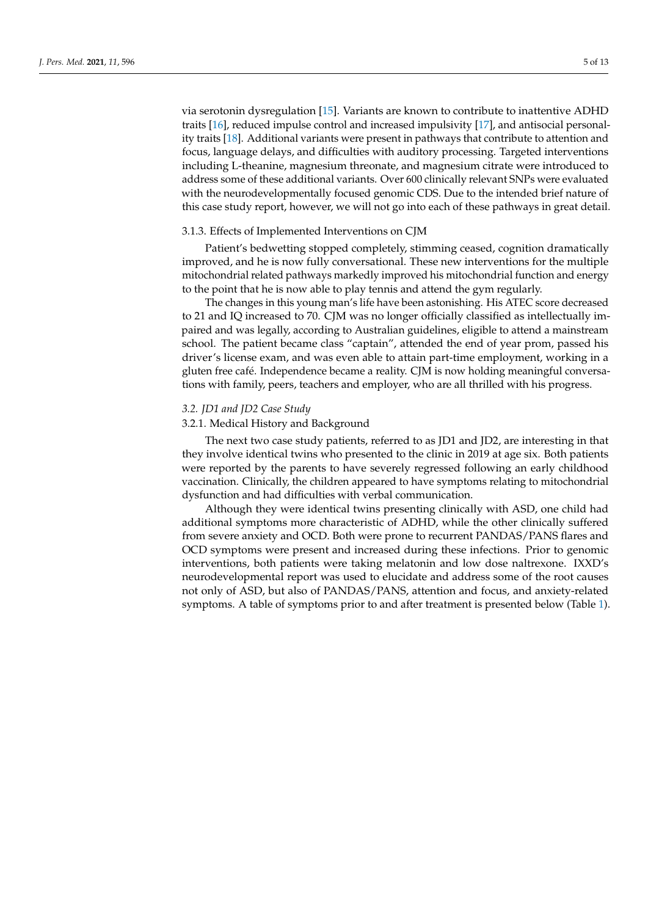via serotonin dysregulation [\[15\]](#page-10-12). Variants are known to contribute to inattentive ADHD traits [\[16\]](#page-10-13), reduced impulse control and increased impulsivity [\[17\]](#page-10-14), and antisocial personality traits [\[18\]](#page-10-15). Additional variants were present in pathways that contribute to attention and focus, language delays, and difficulties with auditory processing. Targeted interventions including L-theanine, magnesium threonate, and magnesium citrate were introduced to address some of these additional variants. Over 600 clinically relevant SNPs were evaluated with the neurodevelopmentally focused genomic CDS. Due to the intended brief nature of this case study report, however, we will not go into each of these pathways in great detail.

## 3.1.3. Effects of Implemented Interventions on CJM

Patient's bedwetting stopped completely, stimming ceased, cognition dramatically improved, and he is now fully conversational. These new interventions for the multiple mitochondrial related pathways markedly improved his mitochondrial function and energy to the point that he is now able to play tennis and attend the gym regularly.

The changes in this young man's life have been astonishing. His ATEC score decreased to 21 and IQ increased to 70. CJM was no longer officially classified as intellectually impaired and was legally, according to Australian guidelines, eligible to attend a mainstream school. The patient became class "captain", attended the end of year prom, passed his driver's license exam, and was even able to attain part-time employment, working in a gluten free café. Independence became a reality. CJM is now holding meaningful conversations with family, peers, teachers and employer, who are all thrilled with his progress.

## *3.2. JD1 and JD2 Case Study*

# 3.2.1. Medical History and Background

The next two case study patients, referred to as JD1 and JD2, are interesting in that they involve identical twins who presented to the clinic in 2019 at age six. Both patients were reported by the parents to have severely regressed following an early childhood vaccination. Clinically, the children appeared to have symptoms relating to mitochondrial dysfunction and had difficulties with verbal communication.

Although they were identical twins presenting clinically with ASD, one child had additional symptoms more characteristic of ADHD, while the other clinically suffered from severe anxiety and OCD. Both were prone to recurrent PANDAS/PANS flares and OCD symptoms were present and increased during these infections. Prior to genomic interventions, both patients were taking melatonin and low dose naltrexone. IXXD's neurodevelopmental report was used to elucidate and address some of the root causes not only of ASD, but also of PANDAS/PANS, attention and focus, and anxiety-related symptoms. A table of symptoms prior to and after treatment is presented below (Table [1\)](#page-5-0).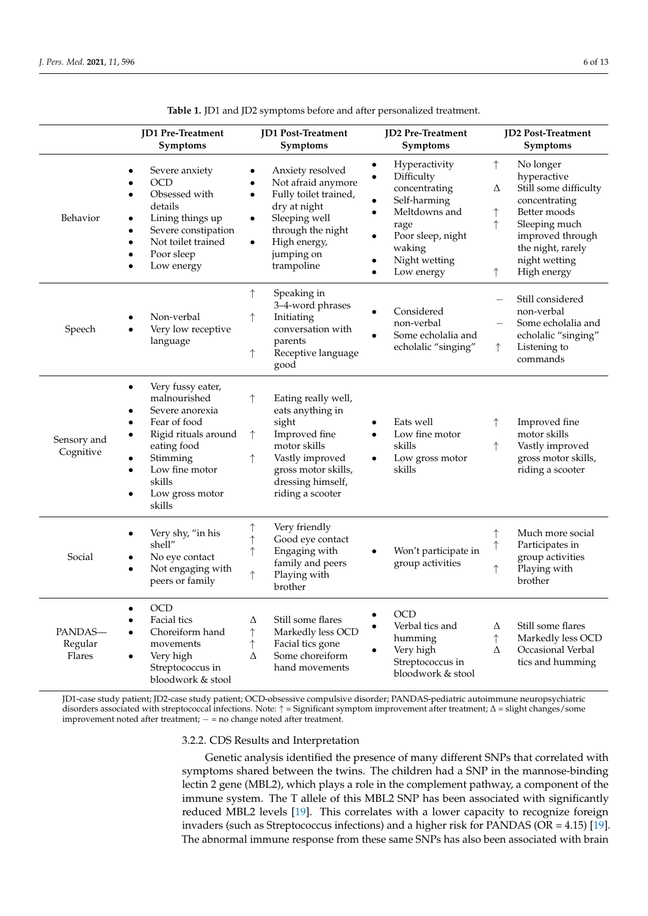<span id="page-5-0"></span>

|                              | JD1 Pre-Treatment<br>Symptoms                                                                                                                                                                                                                                  | JD1 Post-Treatment<br>Symptoms                                                                                                                                                                                                     | <b>JD2</b> Pre-Treatment<br>Symptoms                                                                                                                                                                                 | JD2 Post-Treatment<br>Symptoms                                                                                                                                                                                          |
|------------------------------|----------------------------------------------------------------------------------------------------------------------------------------------------------------------------------------------------------------------------------------------------------------|------------------------------------------------------------------------------------------------------------------------------------------------------------------------------------------------------------------------------------|----------------------------------------------------------------------------------------------------------------------------------------------------------------------------------------------------------------------|-------------------------------------------------------------------------------------------------------------------------------------------------------------------------------------------------------------------------|
| Behavior                     | Severe anxiety<br>$\bullet$<br>OCD<br>$\bullet$<br>Obsessed with<br>$\bullet$<br>details<br>Lining things up<br>$\bullet$<br>Severe constipation<br>$\bullet$<br>Not toilet trained<br>$\bullet$<br>Poor sleep<br>$\bullet$<br>Low energy                      | Anxiety resolved<br>$\bullet$<br>Not afraid anymore<br>$\bullet$<br>Fully toilet trained,<br>$\bullet$<br>dry at night<br>Sleeping well<br>$\bullet$<br>through the night<br>High energy,<br>$\bullet$<br>jumping on<br>trampoline | Hyperactivity<br>$\bullet$<br>Difficulty<br>$\bullet$<br>concentrating<br>Self-harming<br>Meltdowns and<br>$\bullet$<br>rage<br>Poor sleep, night<br>$\bullet$<br>waking<br>Night wetting<br>Low energy<br>$\bullet$ | $\uparrow$<br>No longer<br>hyperactive<br>Still some difficulty<br>Δ<br>concentrating<br>Better moods<br>$\uparrow$<br>↑<br>Sleeping much<br>improved through<br>the night, rarely<br>night wetting<br>High energy<br>↑ |
| Speech                       | Non-verbal<br>Very low receptive<br>$\bullet$<br>language                                                                                                                                                                                                      | $\uparrow$<br>Speaking in<br>3-4-word phrases<br>↑<br>Initiating<br>conversation with<br>parents<br>Receptive language<br>↑<br>good                                                                                                | Considered<br>non-verbal<br>Some echolalia and<br>echolalic "singing"                                                                                                                                                | Still considered<br>$\overline{\phantom{0}}$<br>non-verbal<br>Some echolalia and<br>echolalic "singing"<br>Listening to<br>$\uparrow$<br>commands                                                                       |
| Sensory and<br>Cognitive     | Very fussy eater,<br>$\bullet$<br>malnourished<br>Severe anorexia<br>$\bullet$<br>Fear of food<br>$\bullet$<br>Rigid rituals around<br>$\bullet$<br>eating food<br>Stimming<br>$\bullet$<br>Low fine motor<br>$\bullet$<br>skills<br>Low gross motor<br>skills | $\uparrow$<br>Eating really well,<br>eats anything in<br>sight<br>Improved fine<br>↑<br>motor skills<br>Vastly improved<br>↑<br>gross motor skills,<br>dressing himself,<br>riding a scooter                                       | Eats well<br>Low fine motor<br>$\bullet$<br>skills<br>Low gross motor<br>$\bullet$<br>skills                                                                                                                         | Improved fine<br>motor skills<br>Vastly improved<br>$\uparrow$<br>gross motor skills,<br>riding a scooter                                                                                                               |
| Social                       | Very shy, "in his<br>shell"<br>No eye contact<br>$\bullet$<br>Not engaging with<br>$\bullet$<br>peers or family                                                                                                                                                | $\uparrow$<br>Very friendly<br>Good eye contact<br>$\uparrow$<br>Engaging with<br>↑<br>family and peers<br>Playing with<br>↑<br>brother                                                                                            | Won't participate in<br>group activities                                                                                                                                                                             | Much more social<br>$\uparrow$<br>$\uparrow$<br>Participates in<br>group activities<br>Playing with<br>↑<br>brother                                                                                                     |
| PANDAS-<br>Regular<br>Flares | OCD<br>$\bullet$<br>Facial tics<br>$\bullet$<br>Choreiform hand<br>$\bullet$<br>movements<br>Very high<br>٠<br>Streptococcus in<br>bloodwork & stool                                                                                                           | Still some flares<br>Δ<br>$\uparrow$<br>Markedly less OCD<br>Facial tics gone<br>$\uparrow$<br>Some choreiform<br>Δ<br>hand movements                                                                                              | <b>OCD</b><br>$\bullet$<br>Verbal tics and<br>$\bullet$<br>humming<br>Very high<br>Streptococcus in<br>bloodwork & stool                                                                                             | Still some flares<br>Δ<br>$\uparrow$<br>Markedly less OCD<br>Occasional Verbal<br>Δ<br>tics and humming                                                                                                                 |

**Table 1.** JD1 and JD2 symptoms before and after personalized treatment.

JD1-case study patient; JD2-case study patient; OCD-obsessive compulsive disorder; PANDAS-pediatric autoimmune neuropsychiatric disorders associated with streptococcal infections. Note: ↑ = Significant symptom improvement after treatment; ∆ = slight changes/some improvement noted after treatment; − = no change noted after treatment.

#### 3.2.2. CDS Results and Interpretation

Genetic analysis identified the presence of many different SNPs that correlated with symptoms shared between the twins. The children had a SNP in the mannose-binding lectin 2 gene (MBL2), which plays a role in the complement pathway, a component of the immune system. The T allele of this MBL2 SNP has been associated with significantly reduced MBL2 levels [\[19\]](#page-10-16). This correlates with a lower capacity to recognize foreign invaders (such as Streptococcus infections) and a higher risk for PANDAS (OR = 4.15) [\[19\]](#page-10-16). The abnormal immune response from these same SNPs has also been associated with brain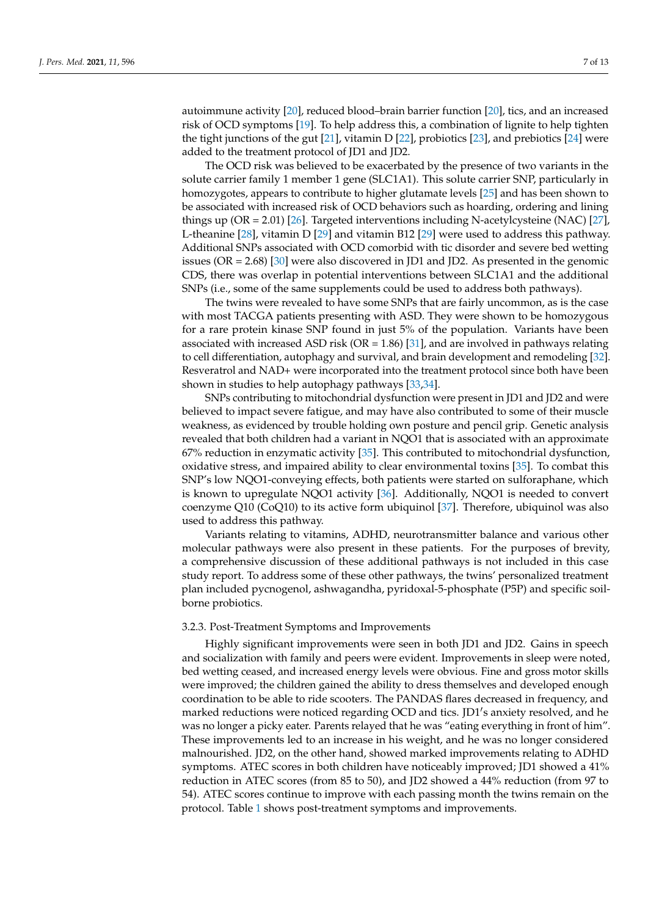autoimmune activity [\[20\]](#page-10-17), reduced blood–brain barrier function [\[20\]](#page-10-17), tics, and an increased risk of OCD symptoms [\[19\]](#page-10-16). To help address this, a combination of lignite to help tighten the tight junctions of the gut [\[21\]](#page-10-18), vitamin D [\[22\]](#page-10-19), probiotics [\[23\]](#page-10-20), and prebiotics [\[24\]](#page-10-21) were added to the treatment protocol of JD1 and JD2.

The OCD risk was believed to be exacerbated by the presence of two variants in the solute carrier family 1 member 1 gene (SLC1A1). This solute carrier SNP, particularly in homozygotes, appears to contribute to higher glutamate levels [\[25\]](#page-10-22) and has been shown to be associated with increased risk of OCD behaviors such as hoarding, ordering and lining things up (OR = 2.01) [\[26\]](#page-10-23). Targeted interventions including N-acetylcysteine (NAC) [\[27\]](#page-10-24), L-theanine [\[28\]](#page-10-25), vitamin D [\[29\]](#page-11-0) and vitamin B12 [\[29\]](#page-11-0) were used to address this pathway. Additional SNPs associated with OCD comorbid with tic disorder and severe bed wetting issues (OR = 2.68) [\[30\]](#page-11-1) were also discovered in JD1 and JD2. As presented in the genomic CDS, there was overlap in potential interventions between SLC1A1 and the additional SNPs (i.e., some of the same supplements could be used to address both pathways).

The twins were revealed to have some SNPs that are fairly uncommon, as is the case with most TACGA patients presenting with ASD. They were shown to be homozygous for a rare protein kinase SNP found in just 5% of the population. Variants have been associated with increased ASD risk ( $OR = 1.86$ ) [\[31\]](#page-11-2), and are involved in pathways relating to cell differentiation, autophagy and survival, and brain development and remodeling [\[32\]](#page-11-3). Resveratrol and NAD+ were incorporated into the treatment protocol since both have been shown in studies to help autophagy pathways [\[33](#page-11-4)[,34\]](#page-11-5).

SNPs contributing to mitochondrial dysfunction were present in JD1 and JD2 and were believed to impact severe fatigue, and may have also contributed to some of their muscle weakness, as evidenced by trouble holding own posture and pencil grip. Genetic analysis revealed that both children had a variant in NQO1 that is associated with an approximate 67% reduction in enzymatic activity [\[35\]](#page-11-6). This contributed to mitochondrial dysfunction, oxidative stress, and impaired ability to clear environmental toxins [\[35\]](#page-11-6). To combat this SNP's low NQO1-conveying effects, both patients were started on sulforaphane, which is known to upregulate NQO1 activity [\[36\]](#page-11-7). Additionally, NQO1 is needed to convert coenzyme Q10 (CoQ10) to its active form ubiquinol [\[37\]](#page-11-8). Therefore, ubiquinol was also used to address this pathway.

Variants relating to vitamins, ADHD, neurotransmitter balance and various other molecular pathways were also present in these patients. For the purposes of brevity, a comprehensive discussion of these additional pathways is not included in this case study report. To address some of these other pathways, the twins' personalized treatment plan included pycnogenol, ashwagandha, pyridoxal-5-phosphate (P5P) and specific soilborne probiotics.

#### 3.2.3. Post-Treatment Symptoms and Improvements

Highly significant improvements were seen in both JD1 and JD2. Gains in speech and socialization with family and peers were evident. Improvements in sleep were noted, bed wetting ceased, and increased energy levels were obvious. Fine and gross motor skills were improved; the children gained the ability to dress themselves and developed enough coordination to be able to ride scooters. The PANDAS flares decreased in frequency, and marked reductions were noticed regarding OCD and tics. JD1's anxiety resolved, and he was no longer a picky eater. Parents relayed that he was "eating everything in front of him". These improvements led to an increase in his weight, and he was no longer considered malnourished. JD2, on the other hand, showed marked improvements relating to ADHD symptoms. ATEC scores in both children have noticeably improved; JD1 showed a 41% reduction in ATEC scores (from 85 to 50), and JD2 showed a 44% reduction (from 97 to 54). ATEC scores continue to improve with each passing month the twins remain on the protocol. Table [1](#page-5-0) shows post-treatment symptoms and improvements.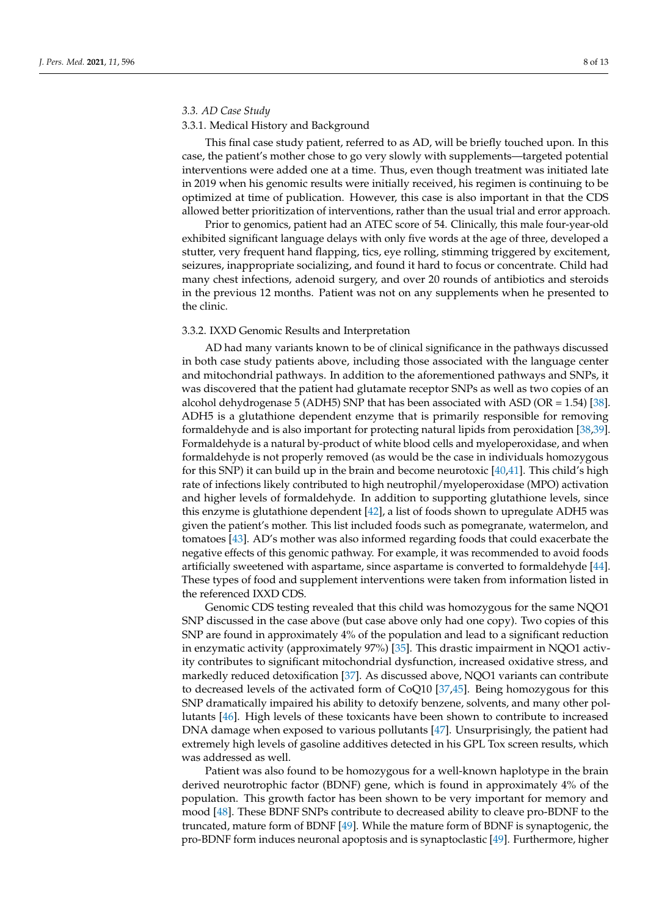# *3.3. AD Case Study*

#### 3.3.1. Medical History and Background

This final case study patient, referred to as AD, will be briefly touched upon. In this case, the patient's mother chose to go very slowly with supplements—targeted potential interventions were added one at a time. Thus, even though treatment was initiated late in 2019 when his genomic results were initially received, his regimen is continuing to be optimized at time of publication. However, this case is also important in that the CDS allowed better prioritization of interventions, rather than the usual trial and error approach.

Prior to genomics, patient had an ATEC score of 54. Clinically, this male four-year-old exhibited significant language delays with only five words at the age of three, developed a stutter, very frequent hand flapping, tics, eye rolling, stimming triggered by excitement, seizures, inappropriate socializing, and found it hard to focus or concentrate. Child had many chest infections, adenoid surgery, and over 20 rounds of antibiotics and steroids in the previous 12 months. Patient was not on any supplements when he presented to the clinic.

#### 3.3.2. IXXD Genomic Results and Interpretation

AD had many variants known to be of clinical significance in the pathways discussed in both case study patients above, including those associated with the language center and mitochondrial pathways. In addition to the aforementioned pathways and SNPs, it was discovered that the patient had glutamate receptor SNPs as well as two copies of an alcohol dehydrogenase 5 (ADH5) SNP that has been associated with ASD (OR = 1.54) [\[38\]](#page-11-9). ADH5 is a glutathione dependent enzyme that is primarily responsible for removing formaldehyde and is also important for protecting natural lipids from peroxidation [\[38](#page-11-9)[,39\]](#page-11-10). Formaldehyde is a natural by-product of white blood cells and myeloperoxidase, and when formaldehyde is not properly removed (as would be the case in individuals homozygous for this SNP) it can build up in the brain and become neurotoxic [\[40,](#page-11-11)[41\]](#page-11-12). This child's high rate of infections likely contributed to high neutrophil/myeloperoxidase (MPO) activation and higher levels of formaldehyde. In addition to supporting glutathione levels, since this enzyme is glutathione dependent [\[42\]](#page-11-13), a list of foods shown to upregulate ADH5 was given the patient's mother. This list included foods such as pomegranate, watermelon, and tomatoes [\[43\]](#page-11-14). AD's mother was also informed regarding foods that could exacerbate the negative effects of this genomic pathway. For example, it was recommended to avoid foods artificially sweetened with aspartame, since aspartame is converted to formaldehyde [\[44\]](#page-11-15). These types of food and supplement interventions were taken from information listed in the referenced IXXD CDS.

Genomic CDS testing revealed that this child was homozygous for the same NQO1 SNP discussed in the case above (but case above only had one copy). Two copies of this SNP are found in approximately 4% of the population and lead to a significant reduction in enzymatic activity (approximately 97%) [\[35\]](#page-11-6). This drastic impairment in NQO1 activity contributes to significant mitochondrial dysfunction, increased oxidative stress, and markedly reduced detoxification [\[37\]](#page-11-8). As discussed above, NQO1 variants can contribute to decreased levels of the activated form of CoQ10 [\[37](#page-11-8)[,45\]](#page-11-16). Being homozygous for this SNP dramatically impaired his ability to detoxify benzene, solvents, and many other pollutants [\[46\]](#page-11-17). High levels of these toxicants have been shown to contribute to increased DNA damage when exposed to various pollutants [\[47\]](#page-11-18). Unsurprisingly, the patient had extremely high levels of gasoline additives detected in his GPL Tox screen results, which was addressed as well.

Patient was also found to be homozygous for a well-known haplotype in the brain derived neurotrophic factor (BDNF) gene, which is found in approximately 4% of the population. This growth factor has been shown to be very important for memory and mood [\[48\]](#page-11-19). These BDNF SNPs contribute to decreased ability to cleave pro-BDNF to the truncated, mature form of BDNF [\[49\]](#page-11-20). While the mature form of BDNF is synaptogenic, the pro-BDNF form induces neuronal apoptosis and is synaptoclastic [\[49\]](#page-11-20). Furthermore, higher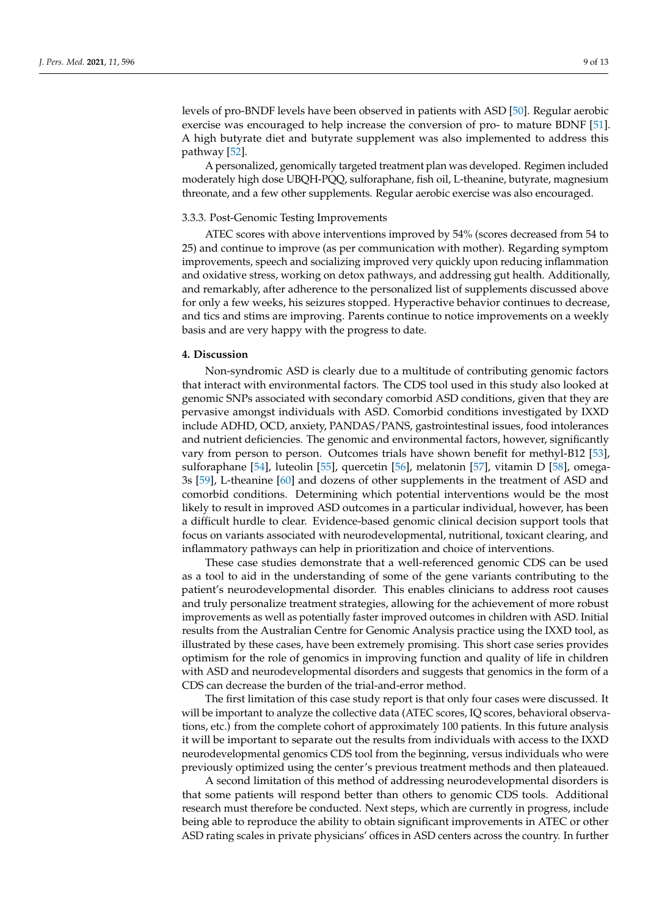levels of pro-BNDF levels have been observed in patients with ASD [\[50\]](#page-11-21). Regular aerobic exercise was encouraged to help increase the conversion of pro- to mature BDNF [\[51\]](#page-11-22). A high butyrate diet and butyrate supplement was also implemented to address this pathway [\[52\]](#page-11-23).

A personalized, genomically targeted treatment plan was developed. Regimen included moderately high dose UBQH-PQQ, sulforaphane, fish oil, L-theanine, butyrate, magnesium threonate, and a few other supplements. Regular aerobic exercise was also encouraged.

#### 3.3.3. Post-Genomic Testing Improvements

ATEC scores with above interventions improved by 54% (scores decreased from 54 to 25) and continue to improve (as per communication with mother). Regarding symptom improvements, speech and socializing improved very quickly upon reducing inflammation and oxidative stress, working on detox pathways, and addressing gut health. Additionally, and remarkably, after adherence to the personalized list of supplements discussed above for only a few weeks, his seizures stopped. Hyperactive behavior continues to decrease, and tics and stims are improving. Parents continue to notice improvements on a weekly basis and are very happy with the progress to date.

#### **4. Discussion**

Non-syndromic ASD is clearly due to a multitude of contributing genomic factors that interact with environmental factors. The CDS tool used in this study also looked at genomic SNPs associated with secondary comorbid ASD conditions, given that they are pervasive amongst individuals with ASD. Comorbid conditions investigated by IXXD include ADHD, OCD, anxiety, PANDAS/PANS, gastrointestinal issues, food intolerances and nutrient deficiencies. The genomic and environmental factors, however, significantly vary from person to person. Outcomes trials have shown benefit for methyl-B12 [\[53\]](#page-11-24), sulforaphane [\[54\]](#page-12-0), luteolin [\[55\]](#page-12-1), quercetin [\[56\]](#page-12-2), melatonin [\[57\]](#page-12-3), vitamin D [\[58\]](#page-12-4), omega-3s [\[59\]](#page-12-5), L-theanine [\[60\]](#page-12-6) and dozens of other supplements in the treatment of ASD and comorbid conditions. Determining which potential interventions would be the most likely to result in improved ASD outcomes in a particular individual, however, has been a difficult hurdle to clear. Evidence-based genomic clinical decision support tools that focus on variants associated with neurodevelopmental, nutritional, toxicant clearing, and inflammatory pathways can help in prioritization and choice of interventions.

These case studies demonstrate that a well-referenced genomic CDS can be used as a tool to aid in the understanding of some of the gene variants contributing to the patient's neurodevelopmental disorder. This enables clinicians to address root causes and truly personalize treatment strategies, allowing for the achievement of more robust improvements as well as potentially faster improved outcomes in children with ASD. Initial results from the Australian Centre for Genomic Analysis practice using the IXXD tool, as illustrated by these cases, have been extremely promising. This short case series provides optimism for the role of genomics in improving function and quality of life in children with ASD and neurodevelopmental disorders and suggests that genomics in the form of a CDS can decrease the burden of the trial-and-error method.

The first limitation of this case study report is that only four cases were discussed. It will be important to analyze the collective data (ATEC scores, IQ scores, behavioral observations, etc.) from the complete cohort of approximately 100 patients. In this future analysis it will be important to separate out the results from individuals with access to the IXXD neurodevelopmental genomics CDS tool from the beginning, versus individuals who were previously optimized using the center's previous treatment methods and then plateaued.

A second limitation of this method of addressing neurodevelopmental disorders is that some patients will respond better than others to genomic CDS tools. Additional research must therefore be conducted. Next steps, which are currently in progress, include being able to reproduce the ability to obtain significant improvements in ATEC or other ASD rating scales in private physicians' offices in ASD centers across the country. In further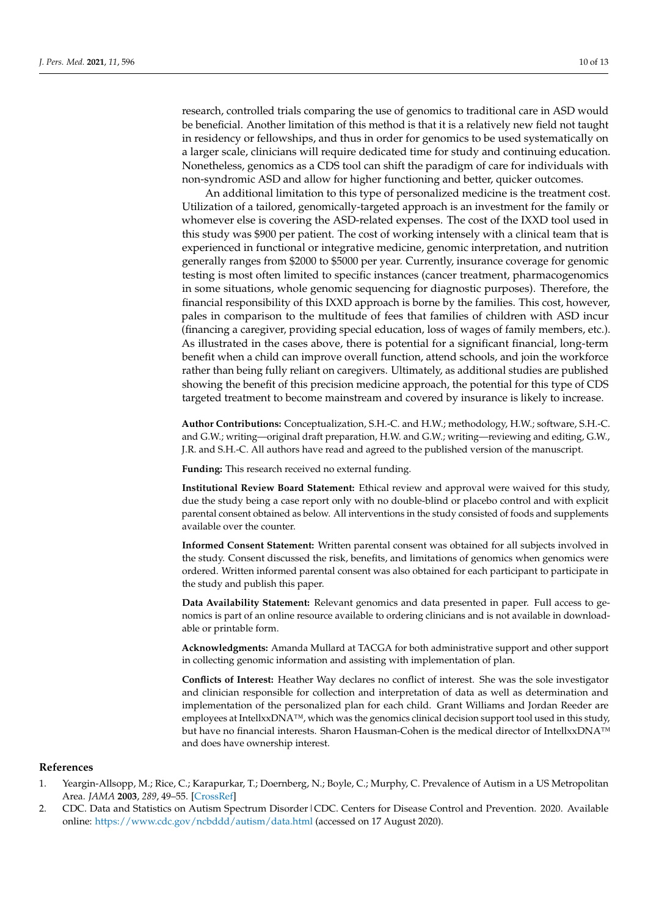research, controlled trials comparing the use of genomics to traditional care in ASD would be beneficial. Another limitation of this method is that it is a relatively new field not taught in residency or fellowships, and thus in order for genomics to be used systematically on a larger scale, clinicians will require dedicated time for study and continuing education. Nonetheless, genomics as a CDS tool can shift the paradigm of care for individuals with non-syndromic ASD and allow for higher functioning and better, quicker outcomes.

An additional limitation to this type of personalized medicine is the treatment cost. Utilization of a tailored, genomically-targeted approach is an investment for the family or whomever else is covering the ASD-related expenses. The cost of the IXXD tool used in this study was \$900 per patient. The cost of working intensely with a clinical team that is experienced in functional or integrative medicine, genomic interpretation, and nutrition generally ranges from \$2000 to \$5000 per year. Currently, insurance coverage for genomic testing is most often limited to specific instances (cancer treatment, pharmacogenomics in some situations, whole genomic sequencing for diagnostic purposes). Therefore, the financial responsibility of this IXXD approach is borne by the families. This cost, however, pales in comparison to the multitude of fees that families of children with ASD incur (financing a caregiver, providing special education, loss of wages of family members, etc.). As illustrated in the cases above, there is potential for a significant financial, long-term benefit when a child can improve overall function, attend schools, and join the workforce rather than being fully reliant on caregivers. Ultimately, as additional studies are published showing the benefit of this precision medicine approach, the potential for this type of CDS targeted treatment to become mainstream and covered by insurance is likely to increase.

**Author Contributions:** Conceptualization, S.H.-C. and H.W.; methodology, H.W.; software, S.H.-C. and G.W.; writing—original draft preparation, H.W. and G.W.; writing—reviewing and editing, G.W., J.R. and S.H.-C. All authors have read and agreed to the published version of the manuscript.

**Funding:** This research received no external funding.

**Institutional Review Board Statement:** Ethical review and approval were waived for this study, due the study being a case report only with no double-blind or placebo control and with explicit parental consent obtained as below. All interventions in the study consisted of foods and supplements available over the counter.

**Informed Consent Statement:** Written parental consent was obtained for all subjects involved in the study. Consent discussed the risk, benefits, and limitations of genomics when genomics were ordered. Written informed parental consent was also obtained for each participant to participate in the study and publish this paper.

**Data Availability Statement:** Relevant genomics and data presented in paper. Full access to genomics is part of an online resource available to ordering clinicians and is not available in downloadable or printable form.

**Acknowledgments:** Amanda Mullard at TACGA for both administrative support and other support in collecting genomic information and assisting with implementation of plan.

**Conflicts of Interest:** Heather Way declares no conflict of interest. She was the sole investigator and clinician responsible for collection and interpretation of data as well as determination and implementation of the personalized plan for each child. Grant Williams and Jordan Reeder are employees at IntellxxDNA™, which was the genomics clinical decision support tool used in this study, but have no financial interests. Sharon Hausman-Cohen is the medical director of IntellxxDNA™ and does have ownership interest.

## **References**

- <span id="page-9-0"></span>1. Yeargin-Allsopp, M.; Rice, C.; Karapurkar, T.; Doernberg, N.; Boyle, C.; Murphy, C. Prevalence of Autism in a US Metropolitan Area. *JAMA* **2003**, *289*, 49–55. [\[CrossRef\]](http://doi.org/10.1001/jama.289.1.49)
- <span id="page-9-1"></span>2. CDC. Data and Statistics on Autism Spectrum Disorder | CDC. Centers for Disease Control and Prevention. 2020. Available online: <https://www.cdc.gov/ncbddd/autism/data.html> (accessed on 17 August 2020).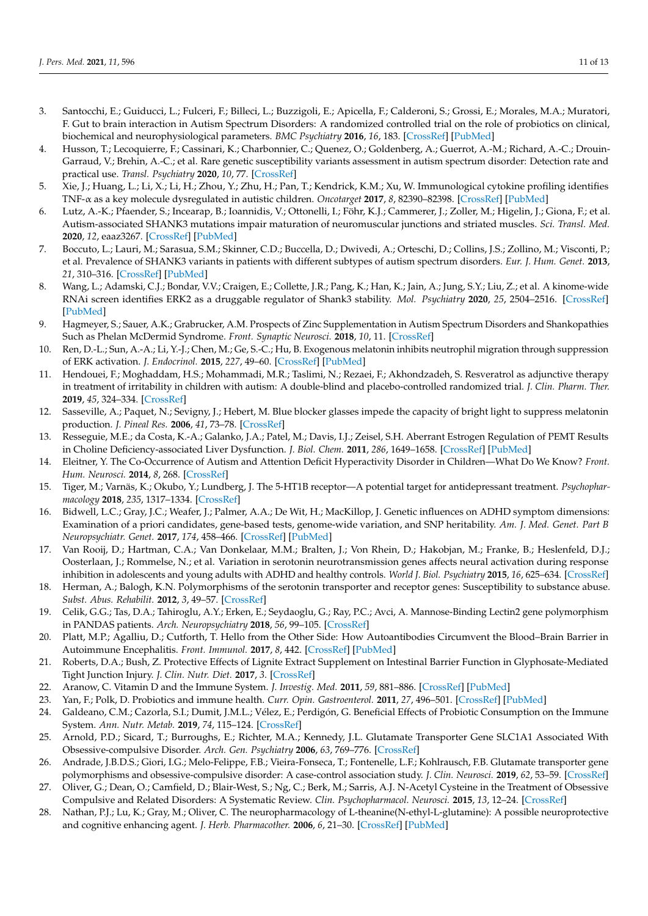- <span id="page-10-0"></span>3. Santocchi, E.; Guiducci, L.; Fulceri, F.; Billeci, L.; Buzzigoli, E.; Apicella, F.; Calderoni, S.; Grossi, E.; Morales, M.A.; Muratori, F. Gut to brain interaction in Autism Spectrum Disorders: A randomized controlled trial on the role of probiotics on clinical, biochemical and neurophysiological parameters. *BMC Psychiatry* **2016**, *16*, 183. [\[CrossRef\]](http://doi.org/10.1186/s12888-016-0887-5) [\[PubMed\]](http://www.ncbi.nlm.nih.gov/pubmed/27260271)
- <span id="page-10-1"></span>4. Husson, T.; Lecoquierre, F.; Cassinari, K.; Charbonnier, C.; Quenez, O.; Goldenberg, A.; Guerrot, A.-M.; Richard, A.-C.; Drouin-Garraud, V.; Brehin, A.-C.; et al. Rare genetic susceptibility variants assessment in autism spectrum disorder: Detection rate and practical use. *Transl. Psychiatry* **2020**, *10*, 77. [\[CrossRef\]](http://doi.org/10.1038/s41398-020-0760-7)
- <span id="page-10-2"></span>5. Xie, J.; Huang, L.; Li, X.; Li, H.; Zhou, Y.; Zhu, H.; Pan, T.; Kendrick, K.M.; Xu, W. Immunological cytokine profiling identifies TNF-α as a key molecule dysregulated in autistic children. *Oncotarget* **2017**, *8*, 82390–82398. [\[CrossRef\]](http://doi.org/10.18632/oncotarget.19326) [\[PubMed\]](http://www.ncbi.nlm.nih.gov/pubmed/29137272)
- <span id="page-10-3"></span>6. Lutz, A.-K.; Pfaender, S.; Incearap, B.; Ioannidis, V.; Ottonelli, I.; Föhr, K.J.; Cammerer, J.; Zoller, M.; Higelin, J.; Giona, F.; et al. Autism-associated SHANK3 mutations impair maturation of neuromuscular junctions and striated muscles. *Sci. Transl. Med.* **2020**, *12*, eaaz3267. [\[CrossRef\]](http://doi.org/10.1126/scitranslmed.aaz3267) [\[PubMed\]](http://www.ncbi.nlm.nih.gov/pubmed/32522805)
- <span id="page-10-4"></span>7. Boccuto, L.; Lauri, M.; Sarasua, S.M.; Skinner, C.D.; Buccella, D.; Dwivedi, A.; Orteschi, D.; Collins, J.S.; Zollino, M.; Visconti, P.; et al. Prevalence of SHANK3 variants in patients with different subtypes of autism spectrum disorders. *Eur. J. Hum. Genet.* **2013**, *21*, 310–316. [\[CrossRef\]](http://doi.org/10.1038/ejhg.2012.175) [\[PubMed\]](http://www.ncbi.nlm.nih.gov/pubmed/22892527)
- <span id="page-10-5"></span>8. Wang, L.; Adamski, C.J.; Bondar, V.V.; Craigen, E.; Collette, J.R.; Pang, K.; Han, K.; Jain, A.; Jung, S.Y.; Liu, Z.; et al. A kinome-wide RNAi screen identifies ERK2 as a druggable regulator of Shank3 stability. *Mol. Psychiatry* **2020**, *25*, 2504–2516. [\[CrossRef\]](http://doi.org/10.1038/s41380-018-0325-9) [\[PubMed\]](http://www.ncbi.nlm.nih.gov/pubmed/30696942)
- <span id="page-10-6"></span>9. Hagmeyer, S.; Sauer, A.K.; Grabrucker, A.M. Prospects of Zinc Supplementation in Autism Spectrum Disorders and Shankopathies Such as Phelan McDermid Syndrome. *Front. Synaptic Neurosci.* **2018**, *10*, 11. [\[CrossRef\]](http://doi.org/10.3389/fnsyn.2018.00011)
- <span id="page-10-7"></span>10. Ren, D.-L.; Sun, A.-A.; Li, Y.-J.; Chen, M.; Ge, S.-C.; Hu, B. Exogenous melatonin inhibits neutrophil migration through suppression of ERK activation. *J. Endocrinol.* **2015**, *227*, 49–60. [\[CrossRef\]](http://doi.org/10.1530/JOE-15-0329) [\[PubMed\]](http://www.ncbi.nlm.nih.gov/pubmed/26303298)
- <span id="page-10-8"></span>11. Hendouei, F.; Moghaddam, H.S.; Mohammadi, M.R.; Taslimi, N.; Rezaei, F.; Akhondzadeh, S. Resveratrol as adjunctive therapy in treatment of irritability in children with autism: A double-blind and placebo-controlled randomized trial. *J. Clin. Pharm. Ther.* **2019**, *45*, 324–334. [\[CrossRef\]](http://doi.org/10.1111/jcpt.13076)
- <span id="page-10-9"></span>12. Sasseville, A.; Paquet, N.; Sevigny, J.; Hebert, M. Blue blocker glasses impede the capacity of bright light to suppress melatonin production. *J. Pineal Res.* **2006**, *41*, 73–78. [\[CrossRef\]](http://doi.org/10.1111/j.1600-079X.2006.00332.x)
- <span id="page-10-10"></span>13. Resseguie, M.E.; da Costa, K.-A.; Galanko, J.A.; Patel, M.; Davis, I.J.; Zeisel, S.H. Aberrant Estrogen Regulation of PEMT Results in Choline Deficiency-associated Liver Dysfunction. *J. Biol. Chem.* **2011**, *286*, 1649–1658. [\[CrossRef\]](http://doi.org/10.1074/jbc.M110.106922) [\[PubMed\]](http://www.ncbi.nlm.nih.gov/pubmed/21059658)
- <span id="page-10-11"></span>14. Eleitner, Y. The Co-Occurrence of Autism and Attention Deficit Hyperactivity Disorder in Children—What Do We Know? *Front. Hum. Neurosci.* **2014**, *8*, 268. [\[CrossRef\]](http://doi.org/10.3389/fnhum.2014.00268)
- <span id="page-10-12"></span>15. Tiger, M.; Varnäs, K.; Okubo, Y.; Lundberg, J. The 5-HT1B receptor—A potential target for antidepressant treatment. *Psychopharmacology* **2018**, *235*, 1317–1334. [\[CrossRef\]](http://doi.org/10.1007/s00213-018-4872-1)
- <span id="page-10-13"></span>16. Bidwell, L.C.; Gray, J.C.; Weafer, J.; Palmer, A.A.; De Wit, H.; MacKillop, J. Genetic influences on ADHD symptom dimensions: Examination of a priori candidates, gene-based tests, genome-wide variation, and SNP heritability. *Am. J. Med. Genet. Part B Neuropsychiatr. Genet.* **2017**, *174*, 458–466. [\[CrossRef\]](http://doi.org/10.1002/ajmg.b.32535) [\[PubMed\]](http://www.ncbi.nlm.nih.gov/pubmed/28512748)
- <span id="page-10-14"></span>17. Van Rooij, D.; Hartman, C.A.; Van Donkelaar, M.M.; Bralten, J.; Von Rhein, D.; Hakobjan, M.; Franke, B.; Heslenfeld, D.J.; Oosterlaan, J.; Rommelse, N.; et al. Variation in serotonin neurotransmission genes affects neural activation during response inhibition in adolescents and young adults with ADHD and healthy controls. *World J. Biol. Psychiatry* **2015**, *16*, 625–634. [\[CrossRef\]](http://doi.org/10.3109/15622975.2015.1067371)
- <span id="page-10-15"></span>18. Herman, A.; Balogh, K.N. Polymorphisms of the serotonin transporter and receptor genes: Susceptibility to substance abuse. *Subst. Abus. Rehabilit.* **2012**, *3*, 49–57. [\[CrossRef\]](http://doi.org/10.2147/SAR.S25864)
- <span id="page-10-16"></span>19. Celik, G.G.; Tas, D.A.; Tahiroglu, A.Y.; Erken, E.; Seydaoglu, G.; Ray, P.C.; Avci, A. Mannose-Binding Lectin2 gene polymorphism in PANDAS patients. *Arch. Neuropsychiatry* **2018**, *56*, 99–105. [\[CrossRef\]](http://doi.org/10.29399/npa.22811)
- <span id="page-10-17"></span>20. Platt, M.P.; Agalliu, D.; Cutforth, T. Hello from the Other Side: How Autoantibodies Circumvent the Blood–Brain Barrier in Autoimmune Encephalitis. *Front. Immunol.* **2017**, *8*, 442. [\[CrossRef\]](http://doi.org/10.3389/fimmu.2017.00442) [\[PubMed\]](http://www.ncbi.nlm.nih.gov/pubmed/28484451)
- <span id="page-10-18"></span>21. Roberts, D.A.; Bush, Z. Protective Effects of Lignite Extract Supplement on Intestinal Barrier Function in Glyphosate-Mediated Tight Junction Injury. *J. Clin. Nutr. Diet.* **2017**, *3*. [\[CrossRef\]](http://doi.org/10.4172/2472-1921.100035)
- <span id="page-10-19"></span>22. Aranow, C. Vitamin D and the Immune System. *J. Investig. Med.* **2011**, *59*, 881–886. [\[CrossRef\]](http://doi.org/10.2310/JIM.0b013e31821b8755) [\[PubMed\]](http://www.ncbi.nlm.nih.gov/pubmed/21527855)
- <span id="page-10-20"></span>23. Yan, F.; Polk, D. Probiotics and immune health. *Curr. Opin. Gastroenterol.* **2011**, *27*, 496–501. [\[CrossRef\]](http://doi.org/10.1097/MOG.0b013e32834baa4d) [\[PubMed\]](http://www.ncbi.nlm.nih.gov/pubmed/21897224)
- <span id="page-10-21"></span>24. Galdeano, C.M.; Cazorla, S.I.; Dumit, J.M.L.; Vélez, E.; Perdigón, G. Beneficial Effects of Probiotic Consumption on the Immune System. *Ann. Nutr. Metab.* **2019**, *74*, 115–124. [\[CrossRef\]](http://doi.org/10.1159/000496426)
- <span id="page-10-22"></span>25. Arnold, P.D.; Sicard, T.; Burroughs, E.; Richter, M.A.; Kennedy, J.L. Glutamate Transporter Gene SLC1A1 Associated With Obsessive-compulsive Disorder. *Arch. Gen. Psychiatry* **2006**, *63*, 769–776. [\[CrossRef\]](http://doi.org/10.1001/archpsyc.63.7.769)
- <span id="page-10-23"></span>26. Andrade, J.B.D.S.; Giori, I.G.; Melo-Felippe, F.B.; Vieira-Fonseca, T.; Fontenelle, L.F.; Kohlrausch, F.B. Glutamate transporter gene polymorphisms and obsessive-compulsive disorder: A case-control association study. *J. Clin. Neurosci.* **2019**, *62*, 53–59. [\[CrossRef\]](http://doi.org/10.1016/j.jocn.2019.01.009)
- <span id="page-10-24"></span>27. Oliver, G.; Dean, O.; Camfield, D.; Blair-West, S.; Ng, C.; Berk, M.; Sarris, A.J. N-Acetyl Cysteine in the Treatment of Obsessive Compulsive and Related Disorders: A Systematic Review. *Clin. Psychopharmacol. Neurosci.* **2015**, *13*, 12–24. [\[CrossRef\]](http://doi.org/10.9758/cpn.2015.13.1.12)
- <span id="page-10-25"></span>28. Nathan, P.J.; Lu, K.; Gray, M.; Oliver, C. The neuropharmacology of L-theanine(N-ethyl-L-glutamine): A possible neuroprotective and cognitive enhancing agent. *J. Herb. Pharmacother.* **2006**, *6*, 21–30. [\[CrossRef\]](http://doi.org/10.1080/J157v06n02_02) [\[PubMed\]](http://www.ncbi.nlm.nih.gov/pubmed/17182482)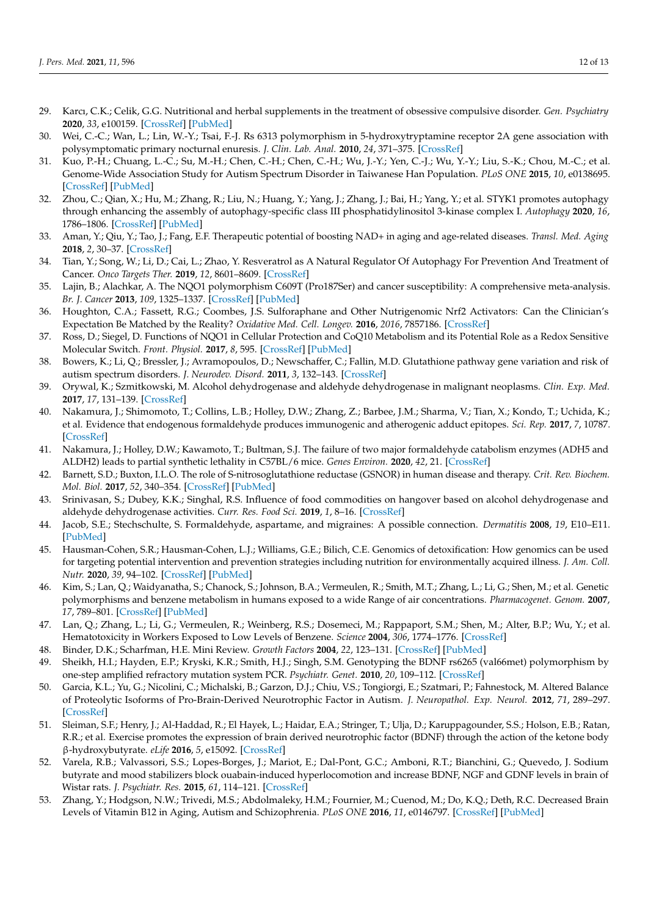- <span id="page-11-0"></span>29. Karcı, C.K.; Celik, G.G. Nutritional and herbal supplements in the treatment of obsessive compulsive disorder. *Gen. Psychiatry* **2020**, *33*, e100159. [\[CrossRef\]](http://doi.org/10.1136/gpsych-2019-100159) [\[PubMed\]](http://www.ncbi.nlm.nih.gov/pubmed/32215361)
- <span id="page-11-1"></span>30. Wei, C.-C.; Wan, L.; Lin, W.-Y.; Tsai, F.-J. Rs 6313 polymorphism in 5-hydroxytryptamine receptor 2A gene association with polysymptomatic primary nocturnal enuresis. *J. Clin. Lab. Anal.* **2010**, *24*, 371–375. [\[CrossRef\]](http://doi.org/10.1002/jcla.20386)
- <span id="page-11-2"></span>31. Kuo, P.-H.; Chuang, L.-C.; Su, M.-H.; Chen, C.-H.; Chen, C.-H.; Wu, J.-Y.; Yen, C.-J.; Wu, Y.-Y.; Liu, S.-K.; Chou, M.-C.; et al. Genome-Wide Association Study for Autism Spectrum Disorder in Taiwanese Han Population. *PLoS ONE* **2015**, *10*, e0138695. [\[CrossRef\]](http://doi.org/10.1371/journal.pone.0138695) [\[PubMed\]](http://www.ncbi.nlm.nih.gov/pubmed/26398136)
- <span id="page-11-3"></span>32. Zhou, C.; Qian, X.; Hu, M.; Zhang, R.; Liu, N.; Huang, Y.; Yang, J.; Zhang, J.; Bai, H.; Yang, Y.; et al. STYK1 promotes autophagy through enhancing the assembly of autophagy-specific class III phosphatidylinositol 3-kinase complex I. *Autophagy* **2020**, *16*, 1786–1806. [\[CrossRef\]](http://doi.org/10.1080/15548627.2019.1687212) [\[PubMed\]](http://www.ncbi.nlm.nih.gov/pubmed/31696776)
- <span id="page-11-4"></span>33. Aman, Y.; Qiu, Y.; Tao, J.; Fang, E.F. Therapeutic potential of boosting NAD+ in aging and age-related diseases. *Transl. Med. Aging* **2018**, *2*, 30–37. [\[CrossRef\]](http://doi.org/10.1016/j.tma.2018.08.003)
- <span id="page-11-5"></span>34. Tian, Y.; Song, W.; Li, D.; Cai, L.; Zhao, Y. Resveratrol as A Natural Regulator Of Autophagy For Prevention And Treatment of Cancer. *Onco Targets Ther.* **2019**, *12*, 8601–8609. [\[CrossRef\]](http://doi.org/10.2147/OTT.S213043)
- <span id="page-11-6"></span>35. Lajin, B.; Alachkar, A. The NQO1 polymorphism C609T (Pro187Ser) and cancer susceptibility: A comprehensive meta-analysis. *Br. J. Cancer* **2013**, *109*, 1325–1337. [\[CrossRef\]](http://doi.org/10.1038/bjc.2013.357) [\[PubMed\]](http://www.ncbi.nlm.nih.gov/pubmed/23860519)
- <span id="page-11-7"></span>36. Houghton, C.A.; Fassett, R.G.; Coombes, J.S. Sulforaphane and Other Nutrigenomic Nrf2 Activators: Can the Clinician's Expectation Be Matched by the Reality? *Oxidative Med. Cell. Longev.* **2016**, *2016*, 7857186. [\[CrossRef\]](http://doi.org/10.1155/2016/7857186)
- <span id="page-11-8"></span>37. Ross, D.; Siegel, D. Functions of NQO1 in Cellular Protection and CoQ10 Metabolism and its Potential Role as a Redox Sensitive Molecular Switch. *Front. Physiol.* **2017**, *8*, 595. [\[CrossRef\]](http://doi.org/10.3389/fphys.2017.00595) [\[PubMed\]](http://www.ncbi.nlm.nih.gov/pubmed/28883796)
- <span id="page-11-9"></span>38. Bowers, K.; Li, Q.; Bressler, J.; Avramopoulos, D.; Newschaffer, C.; Fallin, M.D. Glutathione pathway gene variation and risk of autism spectrum disorders. *J. Neurodev. Disord.* **2011**, *3*, 132–143. [\[CrossRef\]](http://doi.org/10.1007/s11689-011-9077-4)
- <span id="page-11-10"></span>39. Orywal, K.; Szmitkowski, M. Alcohol dehydrogenase and aldehyde dehydrogenase in malignant neoplasms. *Clin. Exp. Med.* **2017**, *17*, 131–139. [\[CrossRef\]](http://doi.org/10.1007/s10238-016-0408-3)
- <span id="page-11-11"></span>40. Nakamura, J.; Shimomoto, T.; Collins, L.B.; Holley, D.W.; Zhang, Z.; Barbee, J.M.; Sharma, V.; Tian, X.; Kondo, T.; Uchida, K.; et al. Evidence that endogenous formaldehyde produces immunogenic and atherogenic adduct epitopes. *Sci. Rep.* **2017**, *7*, 10787. [\[CrossRef\]](http://doi.org/10.1038/s41598-017-11289-8)
- <span id="page-11-12"></span>41. Nakamura, J.; Holley, D.W.; Kawamoto, T.; Bultman, S.J. The failure of two major formaldehyde catabolism enzymes (ADH5 and ALDH2) leads to partial synthetic lethality in C57BL/6 mice. *Genes Environ.* **2020**, *42*, 21. [\[CrossRef\]](http://doi.org/10.1186/s41021-020-00160-4)
- <span id="page-11-13"></span>42. Barnett, S.D.; Buxton, I.L.O. The role of S-nitrosoglutathione reductase (GSNOR) in human disease and therapy. *Crit. Rev. Biochem. Mol. Biol.* **2017**, *52*, 340–354. [\[CrossRef\]](http://doi.org/10.1080/10409238.2017.1304353) [\[PubMed\]](http://www.ncbi.nlm.nih.gov/pubmed/28393572)
- <span id="page-11-14"></span>43. Srinivasan, S.; Dubey, K.K.; Singhal, R.S. Influence of food commodities on hangover based on alcohol dehydrogenase and aldehyde dehydrogenase activities. *Curr. Res. Food Sci.* **2019**, *1*, 8–16. [\[CrossRef\]](http://doi.org/10.1016/j.crfs.2019.09.001)
- <span id="page-11-15"></span>44. Jacob, S.E.; Stechschulte, S. Formaldehyde, aspartame, and migraines: A possible connection. *Dermatitis* **2008**, *19*, E10–E11. [\[PubMed\]](http://www.ncbi.nlm.nih.gov/pubmed/18627677)
- <span id="page-11-16"></span>45. Hausman-Cohen, S.R.; Hausman-Cohen, L.J.; Williams, G.E.; Bilich, C.E. Genomics of detoxification: How genomics can be used for targeting potential intervention and prevention strategies including nutrition for environmentally acquired illness. *J. Am. Coll. Nutr.* **2020**, *39*, 94–102. [\[CrossRef\]](http://doi.org/10.1080/07315724.2020.1713654) [\[PubMed\]](http://www.ncbi.nlm.nih.gov/pubmed/32027241)
- <span id="page-11-17"></span>46. Kim, S.; Lan, Q.; Waidyanatha, S.; Chanock, S.; Johnson, B.A.; Vermeulen, R.; Smith, M.T.; Zhang, L.; Li, G.; Shen, M.; et al. Genetic polymorphisms and benzene metabolism in humans exposed to a wide Range of air concentrations. *Pharmacogenet. Genom.* **2007**, *17*, 789–801. [\[CrossRef\]](http://doi.org/10.1097/FPC.0b013e3280128f77) [\[PubMed\]](http://www.ncbi.nlm.nih.gov/pubmed/17885617)
- <span id="page-11-18"></span>47. Lan, Q.; Zhang, L.; Li, G.; Vermeulen, R.; Weinberg, R.S.; Dosemeci, M.; Rappaport, S.M.; Shen, M.; Alter, B.P.; Wu, Y.; et al. Hematotoxicity in Workers Exposed to Low Levels of Benzene. *Science* **2004**, *306*, 1774–1776. [\[CrossRef\]](http://doi.org/10.1126/science.1102443)
- <span id="page-11-19"></span>48. Binder, D.K.; Scharfman, H.E. Mini Review. *Growth Factors* **2004**, *22*, 123–131. [\[CrossRef\]](http://doi.org/10.1080/08977190410001723308) [\[PubMed\]](http://www.ncbi.nlm.nih.gov/pubmed/15518235)
- <span id="page-11-20"></span>49. Sheikh, H.I.; Hayden, E.P.; Kryski, K.R.; Smith, H.J.; Singh, S.M. Genotyping the BDNF rs6265 (val66met) polymorphism by one-step amplified refractory mutation system PCR. *Psychiatr. Genet.* **2010**, *20*, 109–112. [\[CrossRef\]](http://doi.org/10.1097/YPG.0b013e32833a2038)
- <span id="page-11-21"></span>50. Garcia, K.L.; Yu, G.; Nicolini, C.; Michalski, B.; Garzon, D.J.; Chiu, V.S.; Tongiorgi, E.; Szatmari, P.; Fahnestock, M. Altered Balance of Proteolytic Isoforms of Pro-Brain-Derived Neurotrophic Factor in Autism. *J. Neuropathol. Exp. Neurol.* **2012**, *71*, 289–297. [\[CrossRef\]](http://doi.org/10.1097/NEN.0b013e31824b27e4)
- <span id="page-11-22"></span>51. Sleiman, S.F.; Henry, J.; Al-Haddad, R.; El Hayek, L.; Haidar, E.A.; Stringer, T.; Ulja, D.; Karuppagounder, S.S.; Holson, E.B.; Ratan, R.R.; et al. Exercise promotes the expression of brain derived neurotrophic factor (BDNF) through the action of the ketone body β-hydroxybutyrate. *eLife* **2016**, *5*, e15092. [\[CrossRef\]](http://doi.org/10.7554/eLife.15092)
- <span id="page-11-23"></span>52. Varela, R.B.; Valvassori, S.S.; Lopes-Borges, J.; Mariot, E.; Dal-Pont, G.C.; Amboni, R.T.; Bianchini, G.; Quevedo, J. Sodium butyrate and mood stabilizers block ouabain-induced hyperlocomotion and increase BDNF, NGF and GDNF levels in brain of Wistar rats. *J. Psychiatr. Res.* **2015**, *61*, 114–121. [\[CrossRef\]](http://doi.org/10.1016/j.jpsychires.2014.11.003)
- <span id="page-11-24"></span>53. Zhang, Y.; Hodgson, N.W.; Trivedi, M.S.; Abdolmaleky, H.M.; Fournier, M.; Cuenod, M.; Do, K.Q.; Deth, R.C. Decreased Brain Levels of Vitamin B12 in Aging, Autism and Schizophrenia. *PLoS ONE* **2016**, *11*, e0146797. [\[CrossRef\]](http://doi.org/10.1371/journal.pone.0146797) [\[PubMed\]](http://www.ncbi.nlm.nih.gov/pubmed/26799654)